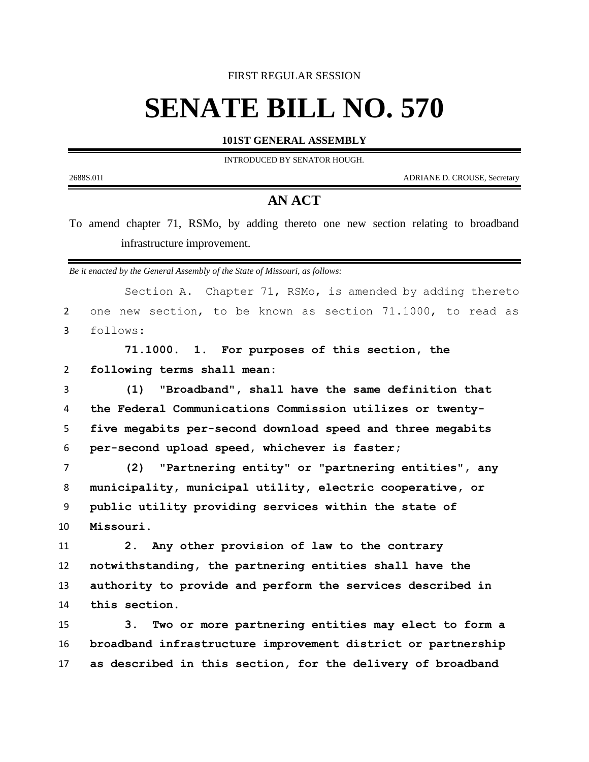FIRST REGULAR SESSION

## **SENATE BILL NO. 570**

**101ST GENERAL ASSEMBLY**

INTRODUCED BY SENATOR HOUGH.

2688S.01I ADRIANE D. CROUSE, Secretary

## **AN ACT**

To amend chapter 71, RSMo, by adding thereto one new section relating to broadband infrastructure improvement.

*Be it enacted by the General Assembly of the State of Missouri, as follows:*

|                | Section A. Chapter 71, RSMo, is amended by adding thereto             |
|----------------|-----------------------------------------------------------------------|
| $\overline{2}$ | one new section, to be known as section 71.1000, to read as           |
| 3              | follows:                                                              |
|                | 71.1000. 1. For purposes of this section, the                         |
| $\overline{2}$ | following terms shall mean:                                           |
| 3              | "Broadband", shall have the same definition that<br>(1)               |
| 4              | the Federal Communications Commission utilizes or twenty-             |
| 5              | five megabits per-second download speed and three megabits            |
| 6              | per-second upload speed, whichever is faster;                         |
| $\overline{7}$ | (2)<br>"Partnering entity" or "partnering entities", any              |
| 8              | municipality, municipal utility, electric cooperative, or             |
| 9              | public utility providing services within the state of                 |
| 10             | Missouri.                                                             |
| 11             | Any other provision of law to the contrary<br>2.                      |
| 12             | notwithstanding, the partnering entities shall have the               |
| 13             | authority to provide and perform the services described in            |
| 14             | this section.                                                         |
| 15             | Two or more partnering entities may elect to form a<br>3 <sub>1</sub> |
| 16             | broadband infrastructure improvement district or partnership          |
| 17             | as described in this section, for the delivery of broadband           |
|                |                                                                       |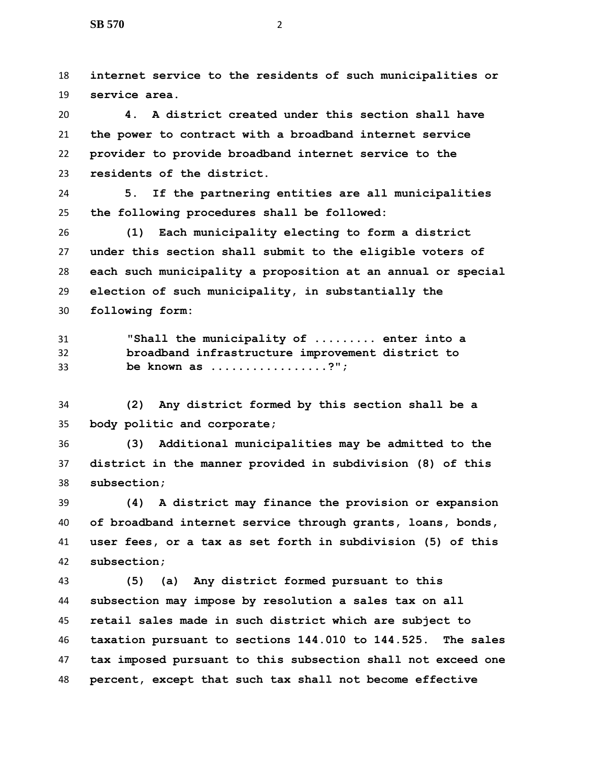**internet service to the residents of such municipalities or service area.**

 **4. A district created under this section shall have the power to contract with a broadband internet service provider to provide broadband internet service to the residents of the district.**

 **5. If the partnering entities are all municipalities the following procedures shall be followed:**

 **(1) Each municipality electing to form a district under this section shall submit to the eligible voters of each such municipality a proposition at an annual or special election of such municipality, in substantially the following form:**

 **"Shall the municipality of ......... enter into a broadband infrastructure improvement district to be known as .................?";**

 **(2) Any district formed by this section shall be a body politic and corporate;**

 **(3) Additional municipalities may be admitted to the district in the manner provided in subdivision (8) of this subsection;**

 **(4) A district may finance the provision or expansion of broadband internet service through grants, loans, bonds, user fees, or a tax as set forth in subdivision (5) of this subsection;**

 **(5) (a) Any district formed pursuant to this subsection may impose by resolution a sales tax on all retail sales made in such district which are subject to taxation pursuant to sections 144.010 to 144.525. The sales tax imposed pursuant to this subsection shall not exceed one percent, except that such tax shall not become effective**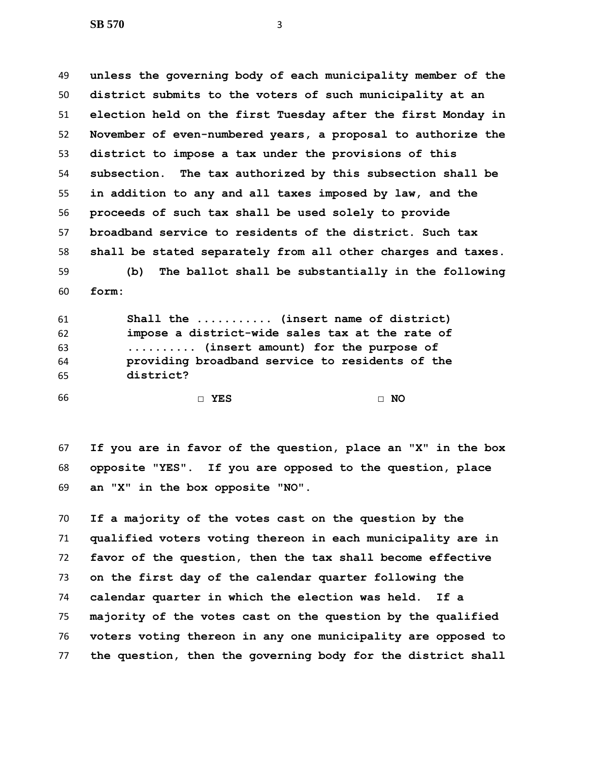**unless the governing body of each municipality member of the district submits to the voters of such municipality at an election held on the first Tuesday after the first Monday in November of even-numbered years, a proposal to authorize the district to impose a tax under the provisions of this subsection. The tax authorized by this subsection shall be in addition to any and all taxes imposed by law, and the proceeds of such tax shall be used solely to provide broadband service to residents of the district. Such tax shall be stated separately from all other charges and taxes. (b) The ballot shall be substantially in the following form:**

 **Shall the ........... (insert name of district) impose a district-wide sales tax at the rate of .......... (insert amount) for the purpose of providing broadband service to residents of the district?**

**□ YES □ NO**

 **If you are in favor of the question, place an "X" in the box opposite "YES". If you are opposed to the question, place an "X" in the box opposite "NO".**

 **If a majority of the votes cast on the question by the qualified voters voting thereon in each municipality are in favor of the question, then the tax shall become effective on the first day of the calendar quarter following the calendar quarter in which the election was held. If a majority of the votes cast on the question by the qualified voters voting thereon in any one municipality are opposed to the question, then the governing body for the district shall**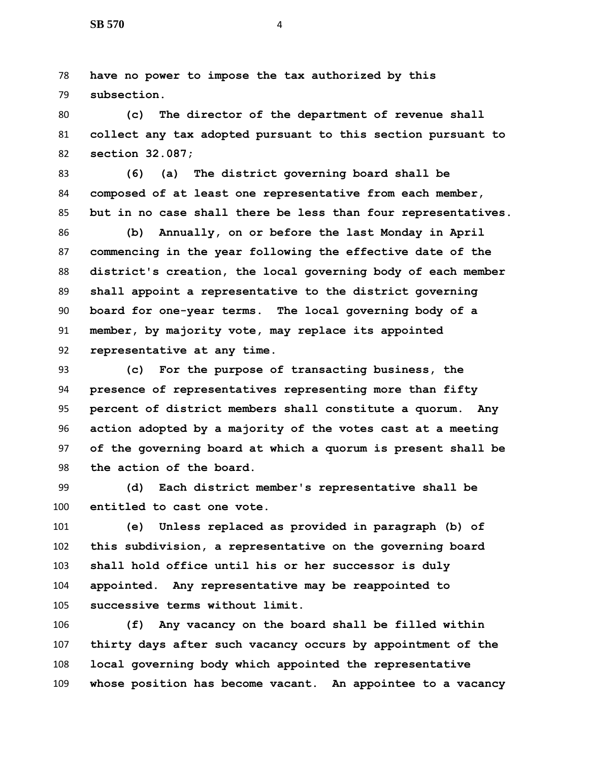**have no power to impose the tax authorized by this subsection.**

 **(c) The director of the department of revenue shall collect any tax adopted pursuant to this section pursuant to section 32.087;**

 **(6) (a) The district governing board shall be composed of at least one representative from each member, but in no case shall there be less than four representatives.**

 **(b) Annually, on or before the last Monday in April commencing in the year following the effective date of the district's creation, the local governing body of each member shall appoint a representative to the district governing board for one-year terms. The local governing body of a member, by majority vote, may replace its appointed representative at any time.**

 **(c) For the purpose of transacting business, the presence of representatives representing more than fifty percent of district members shall constitute a quorum. Any action adopted by a majority of the votes cast at a meeting of the governing board at which a quorum is present shall be the action of the board.**

 **(d) Each district member's representative shall be entitled to cast one vote.**

 **(e) Unless replaced as provided in paragraph (b) of this subdivision, a representative on the governing board shall hold office until his or her successor is duly appointed. Any representative may be reappointed to successive terms without limit.**

 **(f) Any vacancy on the board shall be filled within thirty days after such vacancy occurs by appointment of the local governing body which appointed the representative whose position has become vacant. An appointee to a vacancy**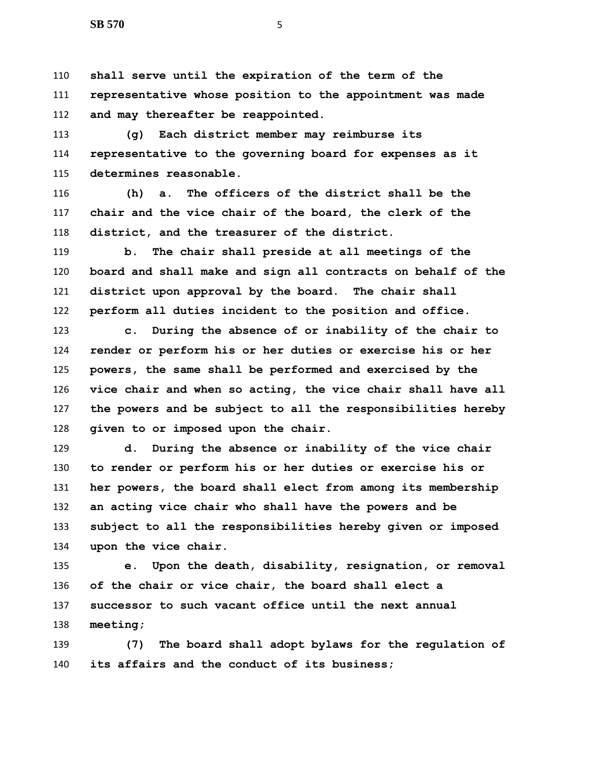**shall serve until the expiration of the term of the representative whose position to the appointment was made and may thereafter be reappointed.**

 **(g) Each district member may reimburse its representative to the governing board for expenses as it determines reasonable.**

 **(h) a. The officers of the district shall be the chair and the vice chair of the board, the clerk of the district, and the treasurer of the district.**

 **b. The chair shall preside at all meetings of the board and shall make and sign all contracts on behalf of the district upon approval by the board. The chair shall perform all duties incident to the position and office.**

 **c. During the absence of or inability of the chair to render or perform his or her duties or exercise his or her powers, the same shall be performed and exercised by the vice chair and when so acting, the vice chair shall have all the powers and be subject to all the responsibilities hereby given to or imposed upon the chair.**

 **d. During the absence or inability of the vice chair to render or perform his or her duties or exercise his or her powers, the board shall elect from among its membership an acting vice chair who shall have the powers and be subject to all the responsibilities hereby given or imposed upon the vice chair.**

 **e. Upon the death, disability, resignation, or removal of the chair or vice chair, the board shall elect a successor to such vacant office until the next annual meeting;**

 **(7) The board shall adopt bylaws for the regulation of its affairs and the conduct of its business;**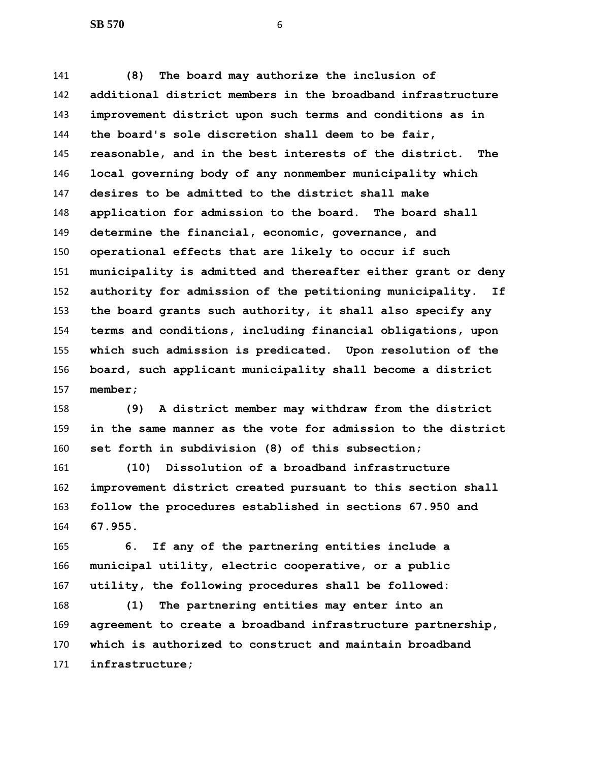**(8) The board may authorize the inclusion of additional district members in the broadband infrastructure improvement district upon such terms and conditions as in the board's sole discretion shall deem to be fair, reasonable, and in the best interests of the district. The local governing body of any nonmember municipality which desires to be admitted to the district shall make application for admission to the board. The board shall determine the financial, economic, governance, and operational effects that are likely to occur if such municipality is admitted and thereafter either grant or deny authority for admission of the petitioning municipality. If the board grants such authority, it shall also specify any terms and conditions, including financial obligations, upon which such admission is predicated. Upon resolution of the board, such applicant municipality shall become a district member;**

 **(9) A district member may withdraw from the district in the same manner as the vote for admission to the district set forth in subdivision (8) of this subsection;**

 **(10) Dissolution of a broadband infrastructure improvement district created pursuant to this section shall follow the procedures established in sections 67.950 and 67.955.**

 **6. If any of the partnering entities include a municipal utility, electric cooperative, or a public utility, the following procedures shall be followed:**

 **(1) The partnering entities may enter into an agreement to create a broadband infrastructure partnership, which is authorized to construct and maintain broadband infrastructure;**